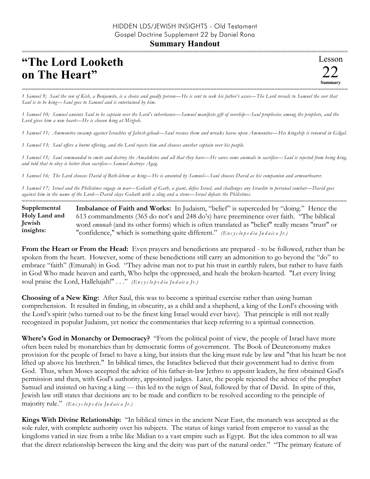## **Summary Handout**

## =========================================================================================================== **"The Lord Looketh on The Heart"**

=========================================================================================================== *1 Samuel 9; Saul the son of Kish, a Benjamite, is a choice and goodly person—He is sent to seek his father's asses—The Lord reveals to Samuel the seer that Saul is to be king—Saul goes to Samuel and is entertained by him.*

*1 Samuel 10; Samuel anoints Saul to be captain over the Lord's inheritance—Samuel manifests gift of seership—Saul prophesies among the prophets, and the Lord gives him a new heart—He is chosen king at Mizpeh.*

*1 Samuel 11; Ammonites encamp against Israelites of Jabesh-gilead—Saul rescues them and wreaks havoc upon Ammonites—His kingship is renewed in Gilgal.*

*1 Samuel 13; Saul offers a burnt offering, and the Lord rejects him and chooses another captain over his people.*

*1 Samuel 15; Saul commanded to smite and destroy the Amalekites and all that they have—He saves some animals to sacrifice—Saul is rejected from being king, and told that to obey is better than sacrifice—Samuel destroys Agag.*

*1 Samuel 16; The Lord chooses David of Beth-lehem as king—He is anointed by Samuel—Saul chooses David as his companion and armourbearer.*

*1 Samuel 17; Israel and the Philistines engage in war—Goliath of Gath, a giant, defies Israel, and challenges any Israelite to personal combat—David goes against him in the name of the Lord—David slays Goliath with a sling and a stone—Israel defeats the Philistines.*

**Imbalance of Faith and Works:** In Judaism, "belief" is superceded by "doing." Hence the 613 commandments (365 do not's and 248 do's) have preeminence over faith. "The biblical word *emunah* (and its other forms) which is often translated as "belief" really means "trust" or "confidence," which is something quite different." *(En c y c lo p e d ia Ju d a ic a Jr.)* **Supplemental Holy Land and Jewish insights:**

==========================================================================================================

**From the Heart or From the Head:** Even prayers and benedictions are prepared - to be followed, rather than be spoken from the heart. However, some of these benedictions still carry an admonition to go beyond the "do" to embrace "faith" (Emunah) in God. "They advise man not to put his trust in earthly rulers, but rather to have faith in God Who made heaven and earth, Who helps the oppressed, and heals the broken-hearted. "Let every living soul praise the Lord, Hallelujah!" . . ." *(En c y c lo p e d ia Ju d a ic a Jr.)*

**Choosing of a New King:** After Saul, this was to become a spiritual exercise rather than using human comprehension. It resulted in finding, in obscurity, as a child and a shepherd, a king of the Lord's choosing with the Lord's spirit (who turned out to be the finest king Israel would ever have). That principle is still not really recognized in popular Judaism, yet notice the commentaries that keep referring to a spiritual connection.

**Where's God in Monarchy or Democracy?** "From the political point of view, the people of Israel have more often been ruled by monarchies than by democratic forms of government. The Book of Deuteronomy makes provision for the people of Israel to have a king, but insists that the king must rule by law and "that his heart be not lifted up above his brethren." In biblical times, the Israelites believed that their government had to derive from God. Thus, when Moses accepted the advice of his father-in-law Jethro to appoint leaders, he first obtained God's permission and then, with God's authority, appointed judges. Later, the people rejected the advice of the prophet Samuel and insisted on having a king --- this led to the reign of Saul, followed by that of David. In spite of this, Jewish law still states that decisions are to be made and conflicts to be resolved according to the principle of majority rule." *(En c y c lo p e d ia Ju d a ic a Jr.)*

**Kings With Divine Relationship:** "In biblical times in the ancient Near East, the monarch was accepted as the sole ruler, with complete authority over his subjects. The status of kings varied from emperor to vassal as the kingdoms varied in size from a tribe like Midian to a vast empire such as Egypt. But the idea common to all was that the direct relationship between the king and the deity was part of the natural order." "The primary feature of